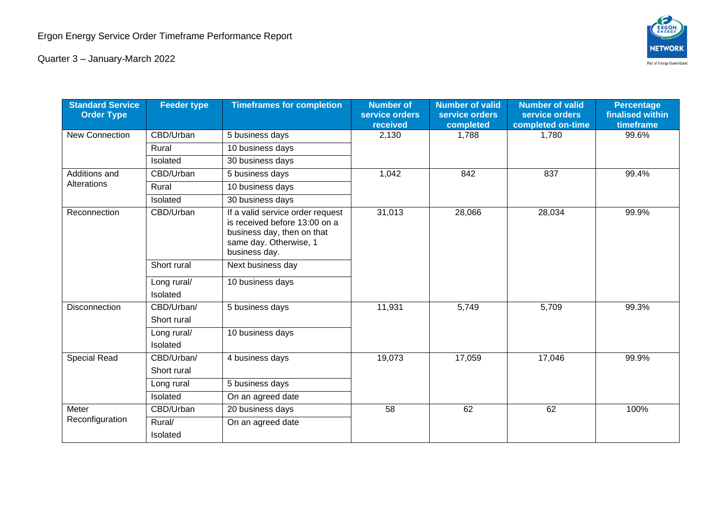

Quarter 3 – January-March 2022

| <b>Standard Service</b><br><b>Order Type</b> | <b>Feeder type</b>        | <b>Timeframes for completion</b>                                                                                                           | <b>Number of</b><br>service orders<br>received | <b>Number of valid</b><br>service orders<br>completed | <b>Number of valid</b><br>service orders<br>completed on-time | <b>Percentage</b><br>finalised within<br>timeframe |
|----------------------------------------------|---------------------------|--------------------------------------------------------------------------------------------------------------------------------------------|------------------------------------------------|-------------------------------------------------------|---------------------------------------------------------------|----------------------------------------------------|
| <b>New Connection</b>                        | CBD/Urban                 | 5 business days                                                                                                                            | 2,130                                          | 1,788                                                 | 1,780                                                         | 99.6%                                              |
|                                              | Rural                     | 10 business days                                                                                                                           |                                                |                                                       |                                                               |                                                    |
|                                              | Isolated                  | 30 business days                                                                                                                           |                                                |                                                       |                                                               |                                                    |
| Additions and<br>Alterations                 | CBD/Urban                 | 5 business days                                                                                                                            | 1,042                                          | 842                                                   | 837                                                           | 99.4%                                              |
|                                              | Rural                     | 10 business days                                                                                                                           |                                                |                                                       |                                                               |                                                    |
|                                              | Isolated                  | 30 business days                                                                                                                           |                                                |                                                       |                                                               |                                                    |
| Reconnection                                 | CBD/Urban                 | If a valid service order request<br>is received before 13:00 on a<br>business day, then on that<br>same day. Otherwise, 1<br>business day. | 31,013                                         | 28,066                                                | 28,034                                                        | 99.9%                                              |
|                                              | Short rural               | Next business day                                                                                                                          |                                                |                                                       |                                                               |                                                    |
|                                              | Long rural/<br>Isolated   | 10 business days                                                                                                                           |                                                |                                                       |                                                               |                                                    |
| Disconnection                                | CBD/Urban/<br>Short rural | 5 business days                                                                                                                            | 11,931                                         | 5,749                                                 | 5,709                                                         | 99.3%                                              |
|                                              | Long rural/<br>Isolated   | 10 business days                                                                                                                           |                                                |                                                       |                                                               |                                                    |
| Special Read                                 | CBD/Urban/<br>Short rural | 4 business days                                                                                                                            | 19,073                                         | 17,059                                                | 17,046                                                        | 99.9%                                              |
|                                              | Long rural                | 5 business days                                                                                                                            |                                                |                                                       |                                                               |                                                    |
|                                              | Isolated                  | On an agreed date                                                                                                                          |                                                |                                                       |                                                               |                                                    |
| Meter<br>Reconfiguration                     | CBD/Urban                 | 20 business days                                                                                                                           | 58                                             | 62                                                    | 62                                                            | 100%                                               |
|                                              | Rural/<br>Isolated        | On an agreed date                                                                                                                          |                                                |                                                       |                                                               |                                                    |